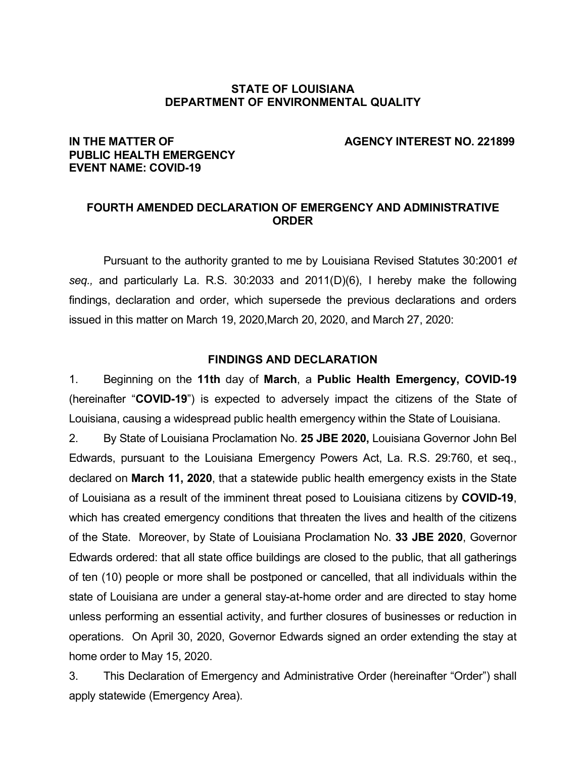#### **STATE OF LOUISIANA DEPARTMENT OF ENVIRONMENTAL QUALITY**

#### **IN THE MATTER OF AGENCY INTEREST NO. 221899**

# **PUBLIC HEALTH EMERGENCY EVENT NAME: COVID-19**

## **FOURTH AMENDED DECLARATION OF EMERGENCY AND ADMINISTRATIVE ORDER**

Pursuant to the authority granted to me by Louisiana Revised Statutes 30:2001 *et seq.,* and particularly La. R.S. 30:2033 and 2011(D)(6), I hereby make the following findings, declaration and order, which supersede the previous declarations and orders issued in this matter on March 19, 2020,March 20, 2020, and March 27, 2020:

#### **FINDINGS AND DECLARATION**

1. Beginning on the **11th** day of **March**, a **Public Health Emergency, COVID-19** (hereinafter "**COVID-19**") is expected to adversely impact the citizens of the State of Louisiana, causing a widespread public health emergency within the State of Louisiana.

2. By State of Louisiana Proclamation No. **25 JBE 2020,** Louisiana Governor John Bel Edwards, pursuant to the Louisiana Emergency Powers Act, La. R.S. 29:760, et seq., declared on **March 11, 2020**, that a statewide public health emergency exists in the State of Louisiana as a result of the imminent threat posed to Louisiana citizens by **COVID-19**, which has created emergency conditions that threaten the lives and health of the citizens of the State. Moreover, by State of Louisiana Proclamation No. **33 JBE 2020**, Governor Edwards ordered: that all state office buildings are closed to the public, that all gatherings of ten (10) people or more shall be postponed or cancelled, that all individuals within the state of Louisiana are under a general stay-at-home order and are directed to stay home unless performing an essential activity, and further closures of businesses or reduction in operations. On April 30, 2020, Governor Edwards signed an order extending the stay at home order to May 15, 2020.

3. This Declaration of Emergency and Administrative Order (hereinafter "Order") shall apply statewide (Emergency Area).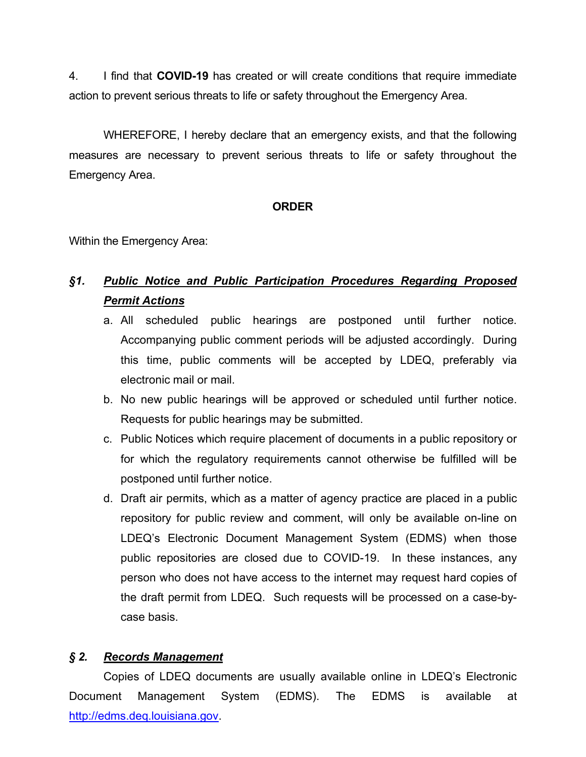4. I find that **COVID-19** has created or will create conditions that require immediate action to prevent serious threats to life or safety throughout the Emergency Area.

WHEREFORE, I hereby declare that an emergency exists, and that the following measures are necessary to prevent serious threats to life or safety throughout the Emergency Area.

# **ORDER**

Within the Emergency Area:

# *§1. Public Notice and Public Participation Procedures Regarding Proposed Permit Actions*

- a. All scheduled public hearings are postponed until further notice. Accompanying public comment periods will be adjusted accordingly. During this time, public comments will be accepted by LDEQ, preferably via electronic mail or mail.
- b. No new public hearings will be approved or scheduled until further notice. Requests for public hearings may be submitted.
- c. Public Notices which require placement of documents in a public repository or for which the regulatory requirements cannot otherwise be fulfilled will be postponed until further notice.
- d. Draft air permits, which as a matter of agency practice are placed in a public repository for public review and comment, will only be available on-line on LDEQ's Electronic Document Management System (EDMS) when those public repositories are closed due to COVID-19. In these instances, any person who does not have access to the internet may request hard copies of the draft permit from LDEQ. Such requests will be processed on a case-bycase basis.

# *§ 2. Records Management*

Copies of LDEQ documents are usually available online in LDEQ's Electronic Document Management System (EDMS). The EDMS is available at http://edms.deq.louisiana.gov.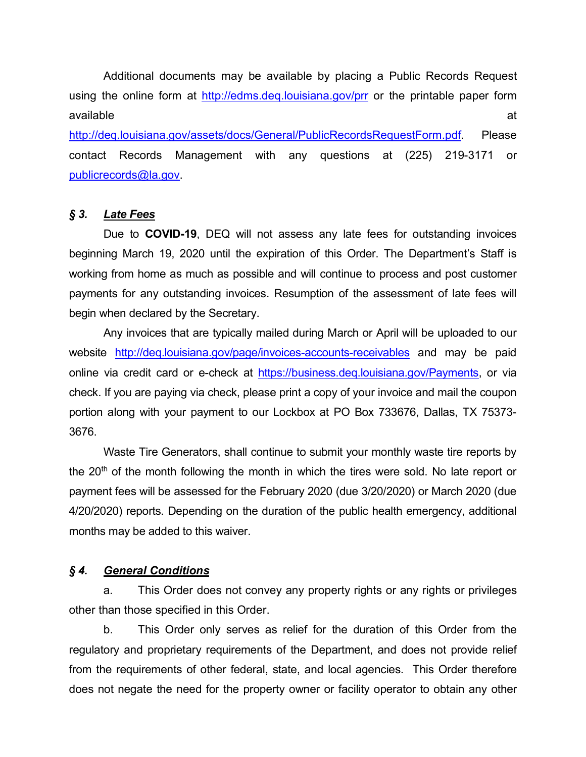Additional documents may be available by placing a Public Records Request using the online form at http://edms.deg.louisiana.gov/prr or the printable paper form available at the state of the state of the state  $\alpha$ 

http://deg.louisiana.gov/assets/docs/General/PublicRecordsRequestForm.pdf. Please contact Records Management with any questions at (225) 219-3171 or publicrecords@la.gov.

## *§ 3. Late Fees*

Due to **COVID-19**, DEQ will not assess any late fees for outstanding invoices beginning March 19, 2020 until the expiration of this Order. The Department's Staff is working from home as much as possible and will continue to process and post customer payments for any outstanding invoices. Resumption of the assessment of late fees will begin when declared by the Secretary.

Any invoices that are typically mailed during March or April will be uploaded to our website http://deq.louisiana.gov/page/invoices-accounts-receivables and may be paid online via credit card or e-check at https://business.deq.louisiana.gov/Payments, or via check. If you are paying via check, please print a copy of your invoice and mail the coupon portion along with your payment to our Lockbox at PO Box 733676, Dallas, TX 75373- 3676.

Waste Tire Generators, shall continue to submit your monthly waste tire reports by the 20<sup>th</sup> of the month following the month in which the tires were sold. No late report or payment fees will be assessed for the February 2020 (due 3/20/2020) or March 2020 (due 4/20/2020) reports. Depending on the duration of the public health emergency, additional months may be added to this waiver.

## *§ 4. General Conditions*

a. This Order does not convey any property rights or any rights or privileges other than those specified in this Order.

b. This Order only serves as relief for the duration of this Order from the regulatory and proprietary requirements of the Department, and does not provide relief from the requirements of other federal, state, and local agencies. This Order therefore does not negate the need for the property owner or facility operator to obtain any other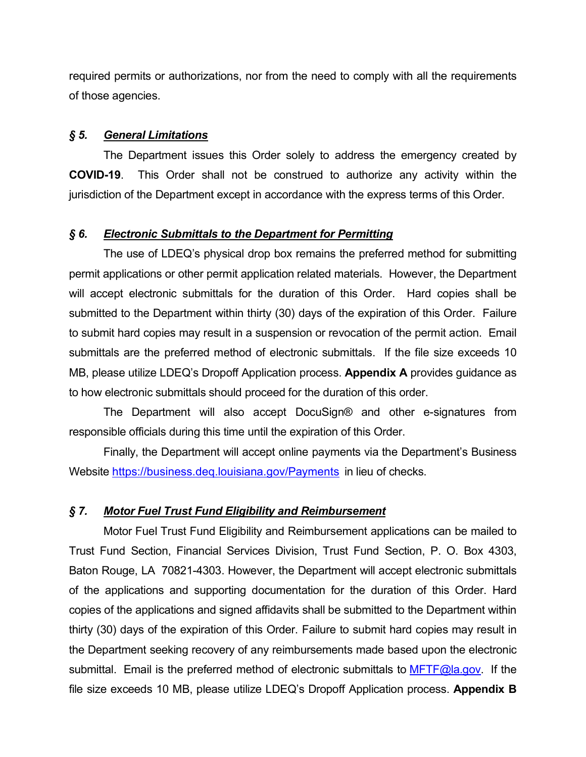required permits or authorizations, nor from the need to comply with all the requirements of those agencies.

#### *§ 5. General Limitations*

The Department issues this Order solely to address the emergency created by **COVID-19**. This Order shall not be construed to authorize any activity within the jurisdiction of the Department except in accordance with the express terms of this Order.

## *§ 6. Electronic Submittals to the Department for Permitting*

The use of LDEQ's physical drop box remains the preferred method for submitting permit applications or other permit application related materials. However, the Department will accept electronic submittals for the duration of this Order. Hard copies shall be submitted to the Department within thirty (30) days of the expiration of this Order. Failure to submit hard copies may result in a suspension or revocation of the permit action. Email submittals are the preferred method of electronic submittals. If the file size exceeds 10 MB, please utilize LDEQ's Dropoff Application process. **Appendix A** provides guidance as to how electronic submittals should proceed for the duration of this order.

The Department will also accept DocuSign® and other e-signatures from responsible officials during this time until the expiration of this Order.

Finally, the Department will accept online payments via the Department's Business Website https://business.deq.louisiana.gov/Payments in lieu of checks.

#### *§ 7. Motor Fuel Trust Fund Eligibility and Reimbursement*

Motor Fuel Trust Fund Eligibility and Reimbursement applications can be mailed to Trust Fund Section, Financial Services Division, Trust Fund Section, P. O. Box 4303, Baton Rouge, LA 70821-4303. However, the Department will accept electronic submittals of the applications and supporting documentation for the duration of this Order. Hard copies of the applications and signed affidavits shall be submitted to the Department within thirty (30) days of the expiration of this Order. Failure to submit hard copies may result in the Department seeking recovery of any reimbursements made based upon the electronic submittal. Email is the preferred method of electronic submittals to  $MFTF@$  a.gov. If the file size exceeds 10 MB, please utilize LDEQ's Dropoff Application process. **Appendix B**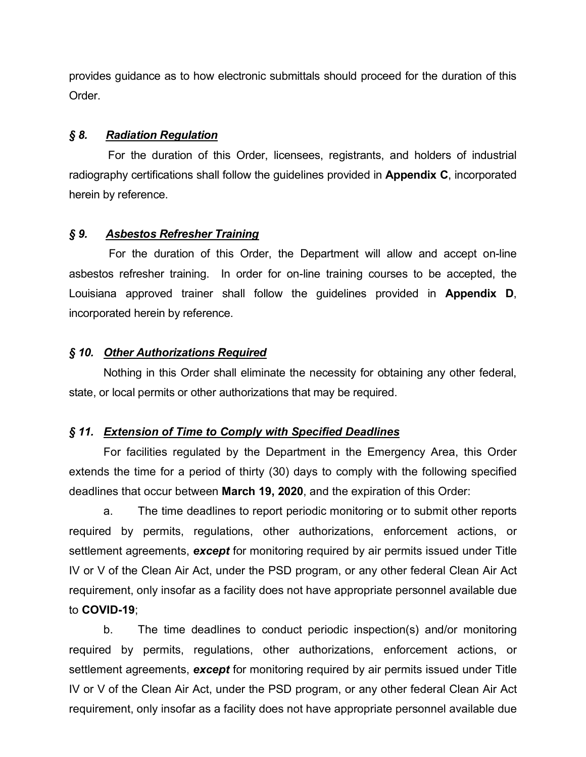provides guidance as to how electronic submittals should proceed for the duration of this Order.

#### *§ 8. Radiation Regulation*

For the duration of this Order, licensees, registrants, and holders of industrial radiography certifications shall follow the guidelines provided in **Appendix C**, incorporated herein by reference.

#### *§ 9. Asbestos Refresher Training*

 For the duration of this Order, the Department will allow and accept on-line asbestos refresher training. In order for on-line training courses to be accepted, the Louisiana approved trainer shall follow the guidelines provided in **Appendix D**, incorporated herein by reference.

#### *§ 10. Other Authorizations Required*

Nothing in this Order shall eliminate the necessity for obtaining any other federal, state, or local permits or other authorizations that may be required.

#### *§ 11. Extension of Time to Comply with Specified Deadlines*

For facilities regulated by the Department in the Emergency Area, this Order extends the time for a period of thirty (30) days to comply with the following specified deadlines that occur between **March 19, 2020**, and the expiration of this Order:

a. The time deadlines to report periodic monitoring or to submit other reports required by permits, regulations, other authorizations, enforcement actions, or settlement agreements, *except* for monitoring required by air permits issued under Title IV or V of the Clean Air Act, under the PSD program, or any other federal Clean Air Act requirement, only insofar as a facility does not have appropriate personnel available due to **COVID-19**;

b. The time deadlines to conduct periodic inspection(s) and/or monitoring required by permits, regulations, other authorizations, enforcement actions, or settlement agreements, *except* for monitoring required by air permits issued under Title IV or V of the Clean Air Act, under the PSD program, or any other federal Clean Air Act requirement, only insofar as a facility does not have appropriate personnel available due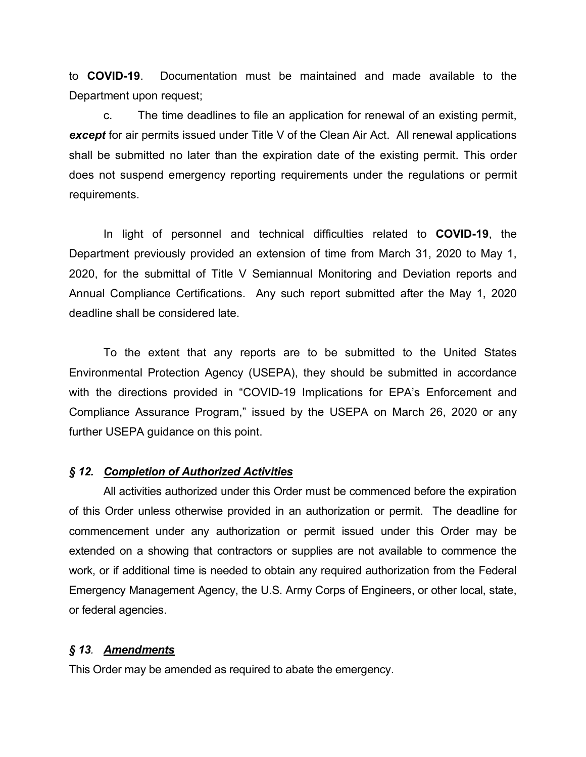to **COVID-19**. Documentation must be maintained and made available to the Department upon request:

c. The time deadlines to file an application for renewal of an existing permit, *except* for air permits issued under Title V of the Clean Air Act. All renewal applications shall be submitted no later than the expiration date of the existing permit. This order does not suspend emergency reporting requirements under the regulations or permit requirements.

In light of personnel and technical difficulties related to **COVID-19**, the Department previously provided an extension of time from March 31, 2020 to May 1, 2020, for the submittal of Title V Semiannual Monitoring and Deviation reports and Annual Compliance Certifications. Any such report submitted after the May 1, 2020 deadline shall be considered late.

To the extent that any reports are to be submitted to the United States Environmental Protection Agency (USEPA), they should be submitted in accordance with the directions provided in "COVID-19 Implications for EPA's Enforcement and Compliance Assurance Program," issued by the USEPA on March 26, 2020 or any further USEPA guidance on this point.

#### *§ 12. Completion of Authorized Activities*

All activities authorized under this Order must be commenced before the expiration of this Order unless otherwise provided in an authorization or permit. The deadline for commencement under any authorization or permit issued under this Order may be extended on a showing that contractors or supplies are not available to commence the work, or if additional time is needed to obtain any required authorization from the Federal Emergency Management Agency, the U.S. Army Corps of Engineers, or other local, state, or federal agencies.

#### *§ 13. Amendments*

This Order may be amended as required to abate the emergency.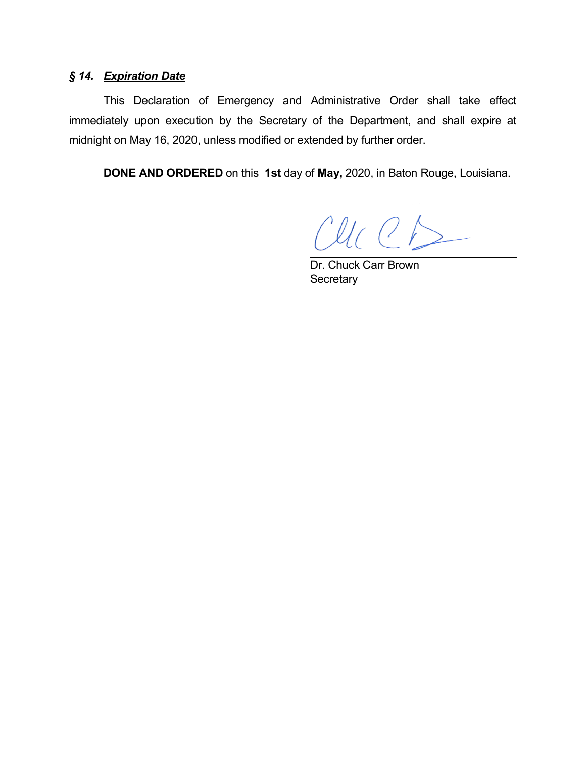# *§ 14. Expiration Date*

This Declaration of Emergency and Administrative Order shall take effect immediately upon execution by the Secretary of the Department, and shall expire at midnight on May 16, 2020, unless modified or extended by further order.

**DONE AND ORDERED** on this **1st** day of **May,** 2020, in Baton Rouge, Louisiana.

 $Cl(C)$ 

Dr. Chuck Carr Brown **Secretary**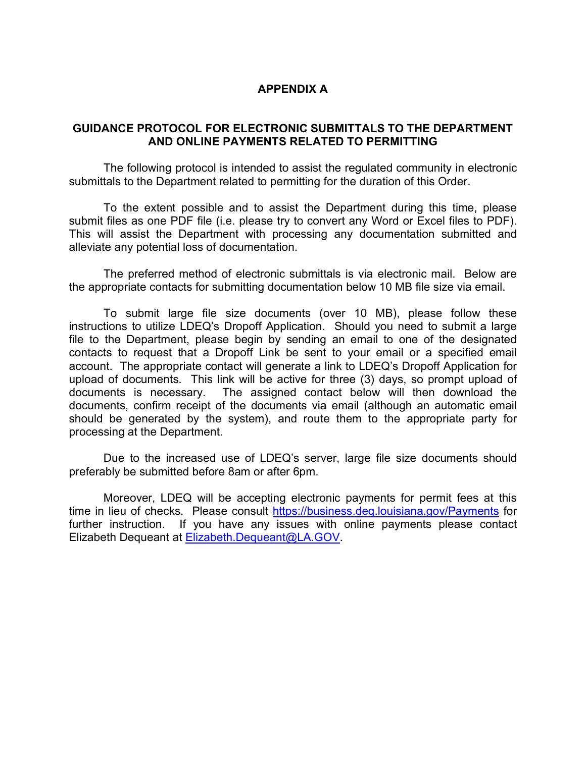## **APPENDIX A**

## **GUIDANCE PROTOCOL FOR ELECTRONIC SUBMITTALS TO THE DEPARTMENT AND ONLINE PAYMENTS RELATED TO PERMITTING**

The following protocol is intended to assist the regulated community in electronic submittals to the Department related to permitting for the duration of this Order.

To the extent possible and to assist the Department during this time, please submit files as one PDF file (i.e. please try to convert any Word or Excel files to PDF). This will assist the Department with processing any documentation submitted and alleviate any potential loss of documentation.

The preferred method of electronic submittals is via electronic mail. Below are the appropriate contacts for submitting documentation below 10 MB file size via email.

To submit large file size documents (over 10 MB), please follow these instructions to utilize LDEQ's Dropoff Application. Should you need to submit a large file to the Department, please begin by sending an email to one of the designated contacts to request that a Dropoff Link be sent to your email or a specified email account. The appropriate contact will generate a link to LDEQ's Dropoff Application for upload of documents. This link will be active for three (3) days, so prompt upload of documents is necessary. The assigned contact below will then download the documents, confirm receipt of the documents via email (although an automatic email should be generated by the system), and route them to the appropriate party for processing at the Department.

Due to the increased use of LDEQ's server, large file size documents should preferably be submitted before 8am or after 6pm.

Moreover, LDEQ will be accepting electronic payments for permit fees at this time in lieu of checks. Please consult https://business.deq.louisiana.gov/Payments for further instruction. If you have any issues with online payments please contact Elizabeth Dequeant at Elizabeth.Dequeant@LA.GOV.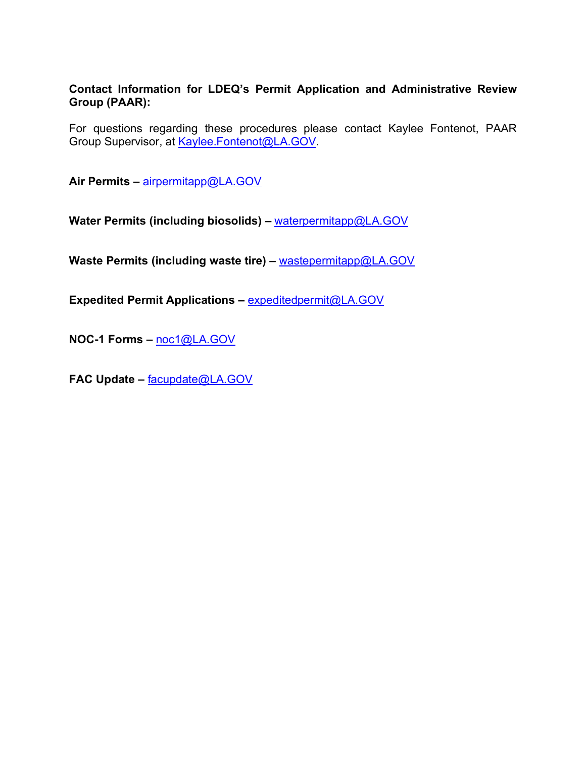## **Contact Information for LDEQ's Permit Application and Administrative Review Group (PAAR):**

For questions regarding these procedures please contact Kaylee Fontenot, PAAR Group Supervisor, at Kaylee.Fontenot@LA.GOV.

**Air Permits –** airpermitapp@LA.GOV

**Water Permits (including biosolids) –** waterpermitapp@LA.GOV

**Waste Permits (including waste tire) –** wastepermitapp@LA.GOV

**Expedited Permit Applications –** expeditedpermit@LA.GOV

**NOC-1 Forms –** noc1@LA.GOV

**FAC Update –** facupdate@LA.GOV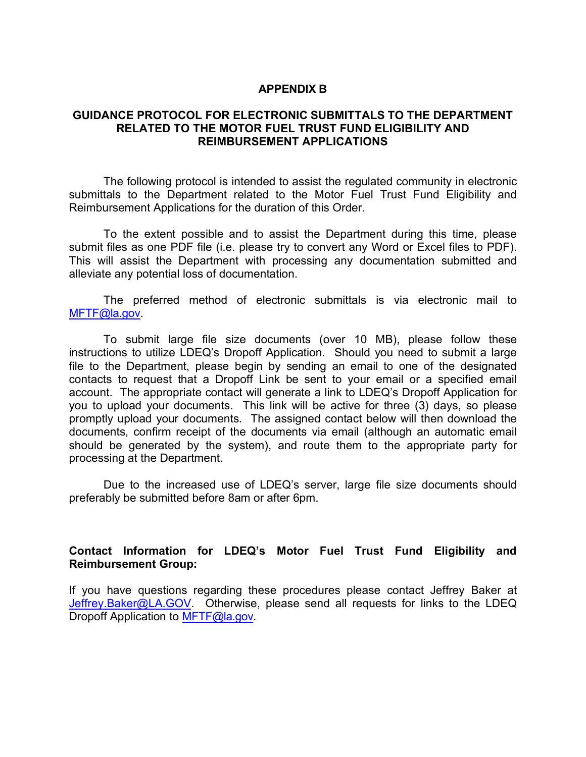#### **APPENDIX B**

#### **GUIDANCE PROTOCOL FOR ELECTRONIC SUBMITTALS TO THE DEPARTMENT RELATED TO THE MOTOR FUEL TRUST FUND ELIGIBILITY AND REIMBURSEMENT APPLICATIONS**

The following protocol is intended to assist the regulated community in electronic submittals to the Department related to the Motor Fuel Trust Fund Eligibility and Reimbursement Applications for the duration of this Order.

To the extent possible and to assist the Department during this time, please submit files as one PDF file (i.e. please try to convert any Word or Excel files to PDF). This will assist the Department with processing any documentation submitted and alleviate any potential loss of documentation.

The preferred method of electronic submittals is via electronic mail to MFTF@la.gov.

To submit large file size documents (over 10 MB), please follow these instructions to utilize LDEQ's Dropoff Application. Should you need to submit a large file to the Department, please begin by sending an email to one of the designated contacts to request that a Dropoff Link be sent to your email or a specified email account. The appropriate contact will generate a link to LDEQ's Dropoff Application for you to upload your documents. This link will be active for three (3) days, so please promptly upload your documents. The assigned contact below will then download the documents, confirm receipt of the documents via email (although an automatic email should be generated by the system), and route them to the appropriate party for processing at the Department.

Due to the increased use of LDEQ's server, large file size documents should preferably be submitted before 8am or after 6pm.

#### **Contact Information for LDEQ's Motor Fuel Trust Fund Eligibility and Reimbursement Group:**

If you have questions regarding these procedures please contact Jeffrey Baker at Jeffrey.Baker@LA.GOV. Otherwise, please send all requests for links to the LDEQ Dropoff Application to MFTF@la.gov.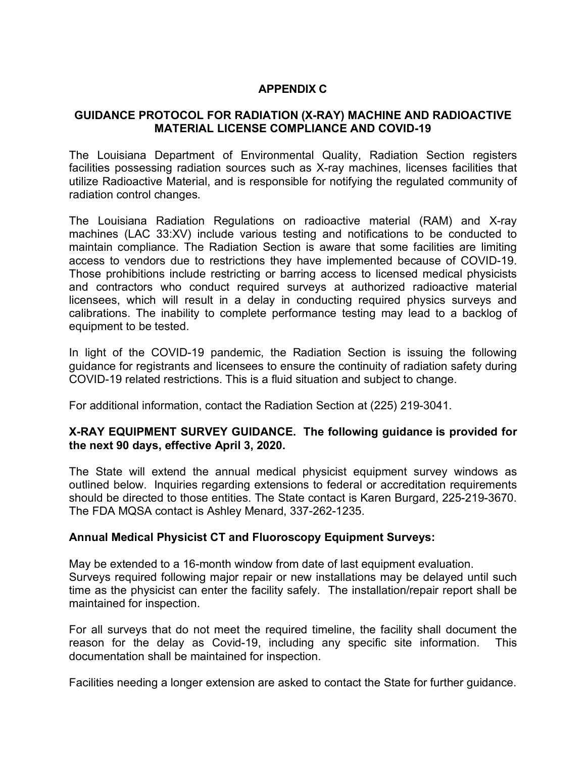# **APPENDIX C**

## **GUIDANCE PROTOCOL FOR RADIATION (X-RAY) MACHINE AND RADIOACTIVE MATERIAL LICENSE COMPLIANCE AND COVID-19**

The Louisiana Department of Environmental Quality, Radiation Section registers facilities possessing radiation sources such as X-ray machines, licenses facilities that utilize Radioactive Material, and is responsible for notifying the regulated community of radiation control changes.

The Louisiana Radiation Regulations on radioactive material (RAM) and X-ray machines (LAC 33:XV) include various testing and notifications to be conducted to maintain compliance. The Radiation Section is aware that some facilities are limiting access to vendors due to restrictions they have implemented because of COVID-19. Those prohibitions include restricting or barring access to licensed medical physicists and contractors who conduct required surveys at authorized radioactive material licensees, which will result in a delay in conducting required physics surveys and calibrations. The inability to complete performance testing may lead to a backlog of equipment to be tested.

In light of the COVID-19 pandemic, the Radiation Section is issuing the following guidance for registrants and licensees to ensure the continuity of radiation safety during COVID-19 related restrictions. This is a fluid situation and subject to change.

For additional information, contact the Radiation Section at (225) 219-3041.

## **X-RAY EQUIPMENT SURVEY GUIDANCE. The following guidance is provided for the next 90 days, effective April 3, 2020.**

The State will extend the annual medical physicist equipment survey windows as outlined below. Inquiries regarding extensions to federal or accreditation requirements should be directed to those entities. The State contact is Karen Burgard, 225-219-3670. The FDA MQSA contact is Ashley Menard, 337-262-1235.

## **Annual Medical Physicist CT and Fluoroscopy Equipment Surveys:**

May be extended to a 16-month window from date of last equipment evaluation. Surveys required following major repair or new installations may be delayed until such time as the physicist can enter the facility safely. The installation/repair report shall be maintained for inspection.

For all surveys that do not meet the required timeline, the facility shall document the reason for the delay as Covid-19, including any specific site information. This documentation shall be maintained for inspection.

Facilities needing a longer extension are asked to contact the State for further guidance.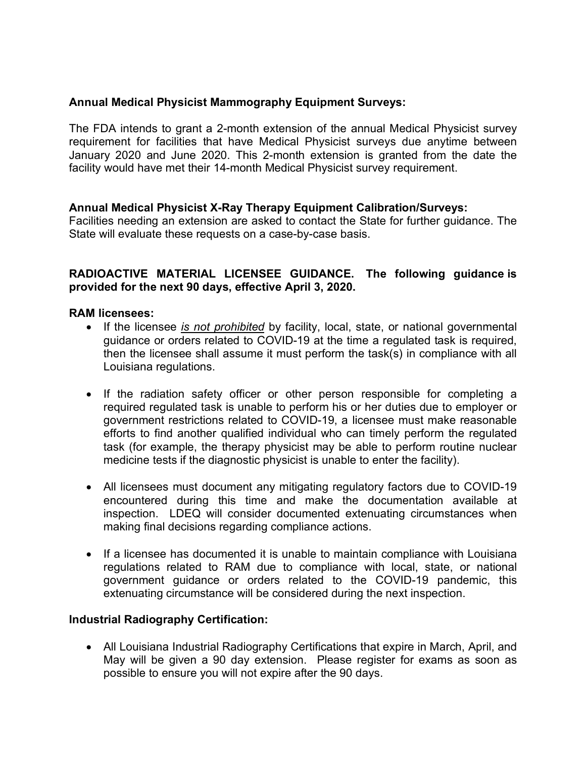# **Annual Medical Physicist Mammography Equipment Surveys:**

The FDA intends to grant a 2-month extension of the annual Medical Physicist survey requirement for facilities that have Medical Physicist surveys due anytime between January 2020 and June 2020. This 2-month extension is granted from the date the facility would have met their 14-month Medical Physicist survey requirement.

# **Annual Medical Physicist X-Ray Therapy Equipment Calibration/Surveys:**

Facilities needing an extension are asked to contact the State for further guidance. The State will evaluate these requests on a case-by-case basis.

## **RADIOACTIVE MATERIAL LICENSEE GUIDANCE. The following guidance is provided for the next 90 days, effective April 3, 2020.**

#### **RAM licensees:**

- If the licensee *is not prohibited* by facility, local, state, or national governmental guidance or orders related to COVID-19 at the time a regulated task is required, then the licensee shall assume it must perform the task(s) in compliance with all Louisiana regulations.
- If the radiation safety officer or other person responsible for completing a required regulated task is unable to perform his or her duties due to employer or government restrictions related to COVID-19, a licensee must make reasonable efforts to find another qualified individual who can timely perform the regulated task (for example, the therapy physicist may be able to perform routine nuclear medicine tests if the diagnostic physicist is unable to enter the facility).
- All licensees must document any mitigating regulatory factors due to COVID-19 encountered during this time and make the documentation available at inspection. LDEQ will consider documented extenuating circumstances when making final decisions regarding compliance actions.
- If a licensee has documented it is unable to maintain compliance with Louisiana regulations related to RAM due to compliance with local, state, or national government guidance or orders related to the COVID-19 pandemic, this extenuating circumstance will be considered during the next inspection.

## **Industrial Radiography Certification:**

• All Louisiana Industrial Radiography Certifications that expire in March, April, and May will be given a 90 day extension. Please register for exams as soon as possible to ensure you will not expire after the 90 days.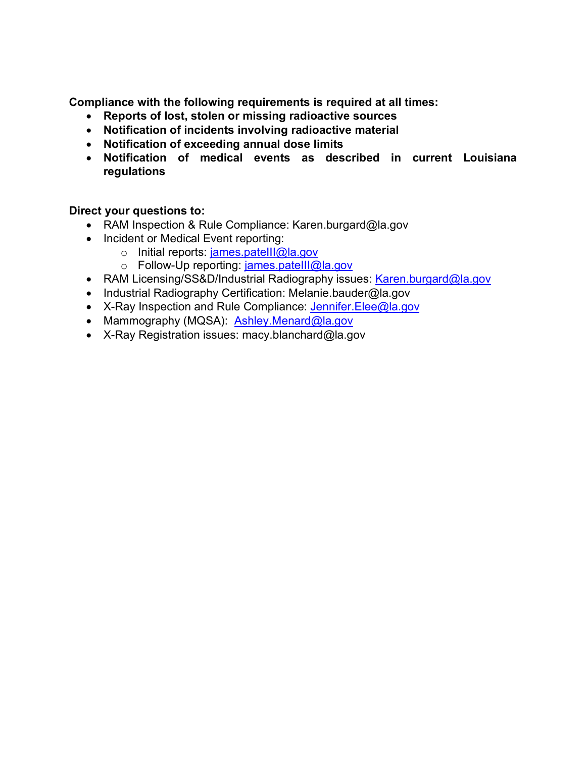**Compliance with the following requirements is required at all times:**

- **Reports of lost, stolen or missing radioactive sources**
- **Notification of incidents involving radioactive material**
- **Notification of exceeding annual dose limits**
- **Notification of medical events as described in current Louisiana regulations**

# **Direct your questions to:**

- RAM Inspection & Rule Compliance: Karen.burgard@la.gov
- Incident or Medical Event reporting:
	- o Initial reports: james.pateIII@la.gov
	- o Follow-Up reporting: james.pateIII@la.gov
- RAM Licensing/SS&D/Industrial Radiography issues: Karen.burgard@la.gov
- Industrial Radiography Certification: Melanie.bauder@la.gov
- X-Ray Inspection and Rule Compliance: Jennifer.Elee@la.gov
- Mammography (MQSA): **Ashley.Menard@la.gov**
- X-Ray Registration issues: macy.blanchard@la.gov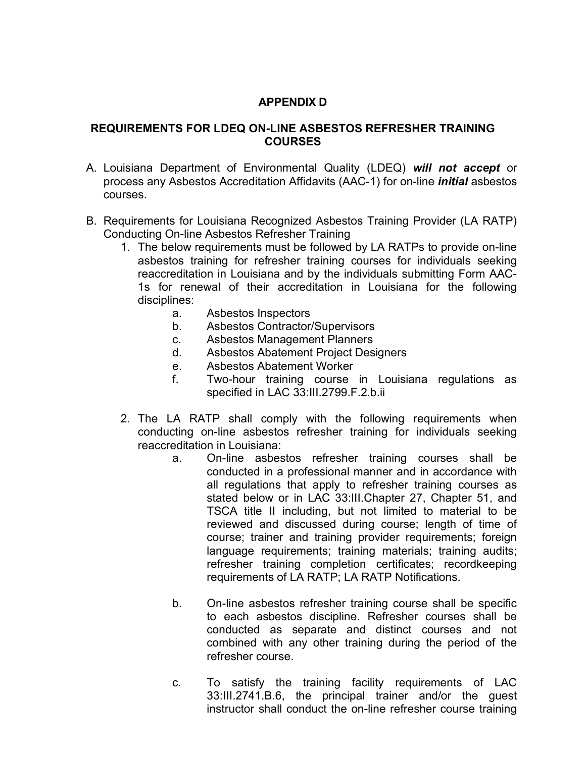# **APPENDIX D**

#### **REQUIREMENTS FOR LDEQ ON-LINE ASBESTOS REFRESHER TRAINING COURSES**

- A. Louisiana Department of Environmental Quality (LDEQ) *will not accept* or process any Asbestos Accreditation Affidavits (AAC-1) for on-line *initial* asbestos courses.
- B. Requirements for Louisiana Recognized Asbestos Training Provider (LA RATP) Conducting On-line Asbestos Refresher Training
	- 1. The below requirements must be followed by LA RATPs to provide on-line asbestos training for refresher training courses for individuals seeking reaccreditation in Louisiana and by the individuals submitting Form AAC-1s for renewal of their accreditation in Louisiana for the following disciplines:
		- a. Asbestos Inspectors
		- b. Asbestos Contractor/Supervisors
		- c. Asbestos Management Planners
		- d. Asbestos Abatement Project Designers
		- e. Asbestos Abatement Worker
		- f. Two-hour training course in Louisiana regulations as specified in LAC 33:III.2799.F.2.b.ii
	- 2. The LA RATP shall comply with the following requirements when conducting on-line asbestos refresher training for individuals seeking reaccreditation in Louisiana:
		- a. On-line asbestos refresher training courses shall be conducted in a professional manner and in accordance with all regulations that apply to refresher training courses as stated below or in LAC 33:III.Chapter 27, Chapter 51, and TSCA title II including, but not limited to material to be reviewed and discussed during course; length of time of course; trainer and training provider requirements; foreign language requirements; training materials; training audits; refresher training completion certificates; recordkeeping requirements of LA RATP; LA RATP Notifications.
		- b. On-line asbestos refresher training course shall be specific to each asbestos discipline. Refresher courses shall be conducted as separate and distinct courses and not combined with any other training during the period of the refresher course.
		- c. To satisfy the training facility requirements of LAC 33:III.2741.B.6, the principal trainer and/or the guest instructor shall conduct the on-line refresher course training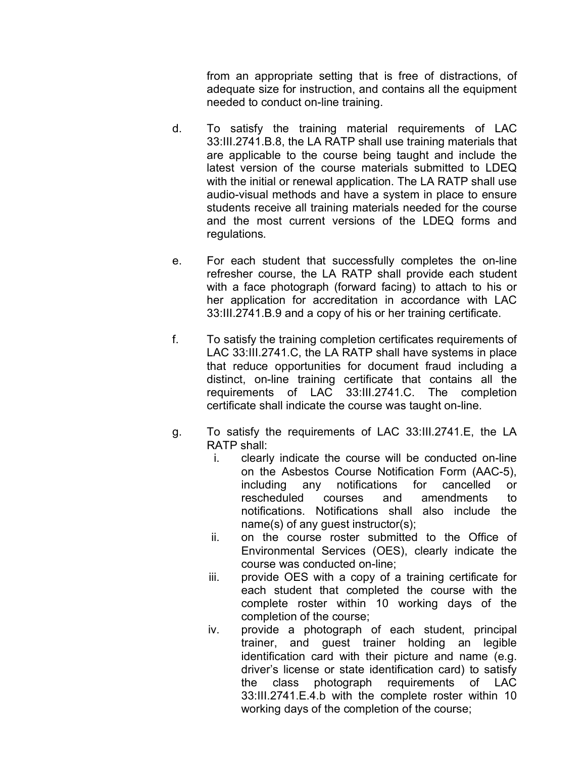from an appropriate setting that is free of distractions, of adequate size for instruction, and contains all the equipment needed to conduct on-line training.

- d. To satisfy the training material requirements of LAC 33:III.2741.B.8, the LA RATP shall use training materials that are applicable to the course being taught and include the latest version of the course materials submitted to LDEQ with the initial or renewal application. The LA RATP shall use audio-visual methods and have a system in place to ensure students receive all training materials needed for the course and the most current versions of the LDEQ forms and regulations.
- e. For each student that successfully completes the on-line refresher course, the LA RATP shall provide each student with a face photograph (forward facing) to attach to his or her application for accreditation in accordance with LAC 33:III.2741.B.9 and a copy of his or her training certificate.
- f. To satisfy the training completion certificates requirements of LAC 33:III.2741.C, the LA RATP shall have systems in place that reduce opportunities for document fraud including a distinct, on-line training certificate that contains all the requirements of LAC 33:III.2741.C. The completion certificate shall indicate the course was taught on-line.
- g. To satisfy the requirements of LAC 33:III.2741.E, the LA RATP shall:
	- i. clearly indicate the course will be conducted on-line on the Asbestos Course Notification Form (AAC-5), including any notifications for cancelled or rescheduled courses and amendments to notifications. Notifications shall also include the name(s) of any guest instructor(s);
	- ii. on the course roster submitted to the Office of Environmental Services (OES), clearly indicate the course was conducted on-line;
	- iii. provide OES with a copy of a training certificate for each student that completed the course with the complete roster within 10 working days of the completion of the course;
	- iv. provide a photograph of each student, principal trainer, and guest trainer holding an legible identification card with their picture and name (e.g. driver's license or state identification card) to satisfy the class photograph requirements of LAC 33:III.2741.E.4.b with the complete roster within 10 working days of the completion of the course;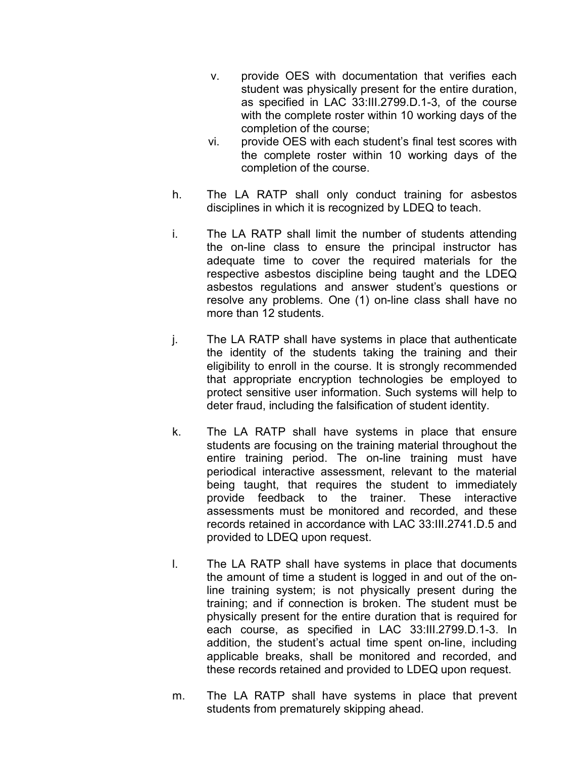- v. provide OES with documentation that verifies each student was physically present for the entire duration, as specified in LAC 33:III.2799.D.1-3, of the course with the complete roster within 10 working days of the completion of the course;
- vi. provide OES with each student's final test scores with the complete roster within 10 working days of the completion of the course.
- h. The LA RATP shall only conduct training for asbestos disciplines in which it is recognized by LDEQ to teach.
- i. The LA RATP shall limit the number of students attending the on-line class to ensure the principal instructor has adequate time to cover the required materials for the respective asbestos discipline being taught and the LDEQ asbestos regulations and answer student's questions or resolve any problems. One (1) on-line class shall have no more than 12 students.
- j. The LA RATP shall have systems in place that authenticate the identity of the students taking the training and their eligibility to enroll in the course. It is strongly recommended that appropriate encryption technologies be employed to protect sensitive user information. Such systems will help to deter fraud, including the falsification of student identity.
- k. The LA RATP shall have systems in place that ensure students are focusing on the training material throughout the entire training period. The on-line training must have periodical interactive assessment, relevant to the material being taught, that requires the student to immediately provide feedback to the trainer. These interactive assessments must be monitored and recorded, and these records retained in accordance with LAC 33:III.2741.D.5 and provided to LDEQ upon request.
- l. The LA RATP shall have systems in place that documents the amount of time a student is logged in and out of the online training system; is not physically present during the training; and if connection is broken. The student must be physically present for the entire duration that is required for each course, as specified in LAC 33:III.2799.D.1-3. In addition, the student's actual time spent on-line, including applicable breaks, shall be monitored and recorded, and these records retained and provided to LDEQ upon request.
- m. The LA RATP shall have systems in place that prevent students from prematurely skipping ahead.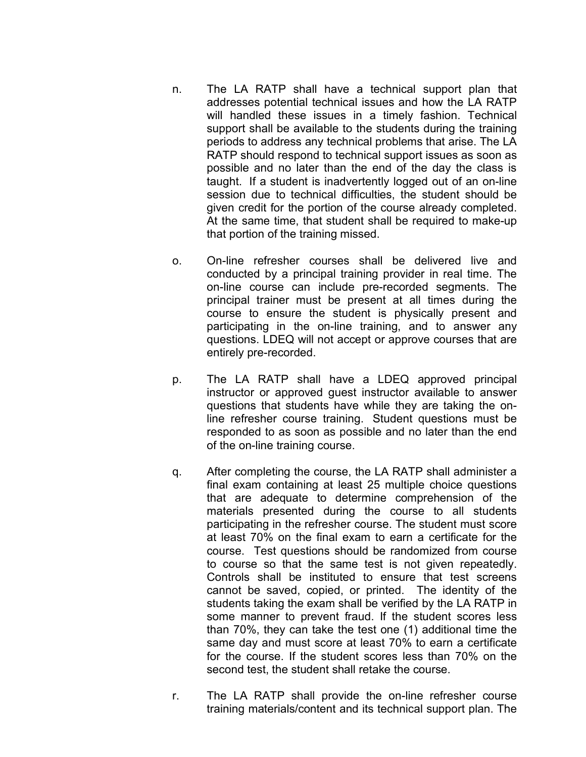- n. The LA RATP shall have a technical support plan that addresses potential technical issues and how the LA RATP will handled these issues in a timely fashion. Technical support shall be available to the students during the training periods to address any technical problems that arise. The LA RATP should respond to technical support issues as soon as possible and no later than the end of the day the class is taught. If a student is inadvertently logged out of an on-line session due to technical difficulties, the student should be given credit for the portion of the course already completed. At the same time, that student shall be required to make-up that portion of the training missed.
- o. On-line refresher courses shall be delivered live and conducted by a principal training provider in real time. The on-line course can include pre-recorded segments. The principal trainer must be present at all times during the course to ensure the student is physically present and participating in the on-line training, and to answer any questions. LDEQ will not accept or approve courses that are entirely pre-recorded.
- p. The LA RATP shall have a LDEQ approved principal instructor or approved guest instructor available to answer questions that students have while they are taking the online refresher course training. Student questions must be responded to as soon as possible and no later than the end of the on-line training course.
- q. After completing the course, the LA RATP shall administer a final exam containing at least 25 multiple choice questions that are adequate to determine comprehension of the materials presented during the course to all students participating in the refresher course. The student must score at least 70% on the final exam to earn a certificate for the course. Test questions should be randomized from course to course so that the same test is not given repeatedly. Controls shall be instituted to ensure that test screens cannot be saved, copied, or printed. The identity of the students taking the exam shall be verified by the LA RATP in some manner to prevent fraud. If the student scores less than 70%, they can take the test one (1) additional time the same day and must score at least 70% to earn a certificate for the course. If the student scores less than 70% on the second test, the student shall retake the course.
- r. The LA RATP shall provide the on-line refresher course training materials/content and its technical support plan. The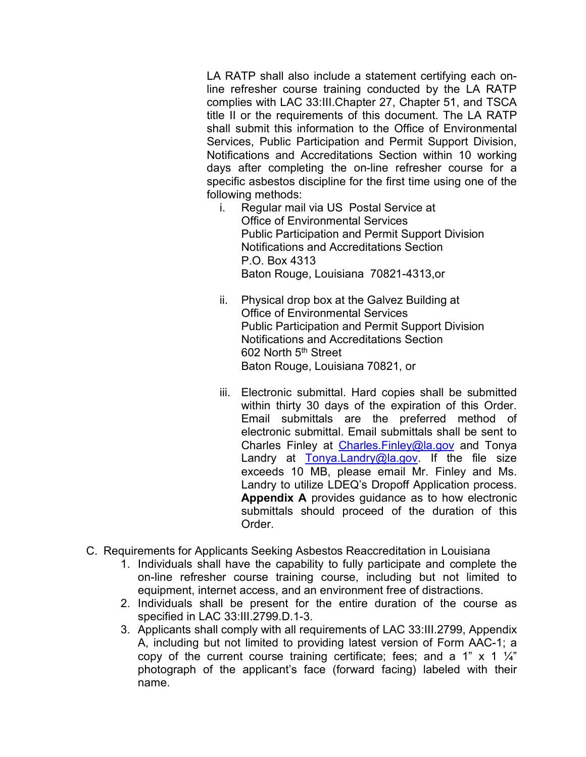LA RATP shall also include a statement certifying each online refresher course training conducted by the LA RATP complies with LAC 33:III.Chapter 27, Chapter 51, and TSCA title II or the requirements of this document. The LA RATP shall submit this information to the Office of Environmental Services, Public Participation and Permit Support Division, Notifications and Accreditations Section within 10 working days after completing the on-line refresher course for a specific asbestos discipline for the first time using one of the following methods:

- i. Regular mail via US Postal Service at Office of Environmental Services Public Participation and Permit Support Division Notifications and Accreditations Section P.O. Box 4313 Baton Rouge, Louisiana 70821-4313,or
- ii. Physical drop box at the Galvez Building at Office of Environmental Services Public Participation and Permit Support Division Notifications and Accreditations Section 602 North 5<sup>th</sup> Street Baton Rouge, Louisiana 70821, or
- iii. Electronic submittal. Hard copies shall be submitted within thirty 30 days of the expiration of this Order. Email submittals are the preferred method of electronic submittal. Email submittals shall be sent to Charles Finley at Charles. Finley@la.gov and Tonya Landry at Tonya.Landry@la.gov. If the file size exceeds 10 MB, please email Mr. Finley and Ms. Landry to utilize LDEQ's Dropoff Application process. **Appendix A** provides guidance as to how electronic submittals should proceed of the duration of this Order.
- C. Requirements for Applicants Seeking Asbestos Reaccreditation in Louisiana
	- 1. Individuals shall have the capability to fully participate and complete the on-line refresher course training course, including but not limited to equipment, internet access, and an environment free of distractions.
	- 2. Individuals shall be present for the entire duration of the course as specified in LAC 33:III.2799.D.1-3.
	- 3. Applicants shall comply with all requirements of LAC 33:III.2799, Appendix A, including but not limited to providing latest version of Form AAC-1; a copy of the current course training certificate; fees; and a 1"  $\times$  1  $\frac{1}{4}$ " photograph of the applicant's face (forward facing) labeled with their name.